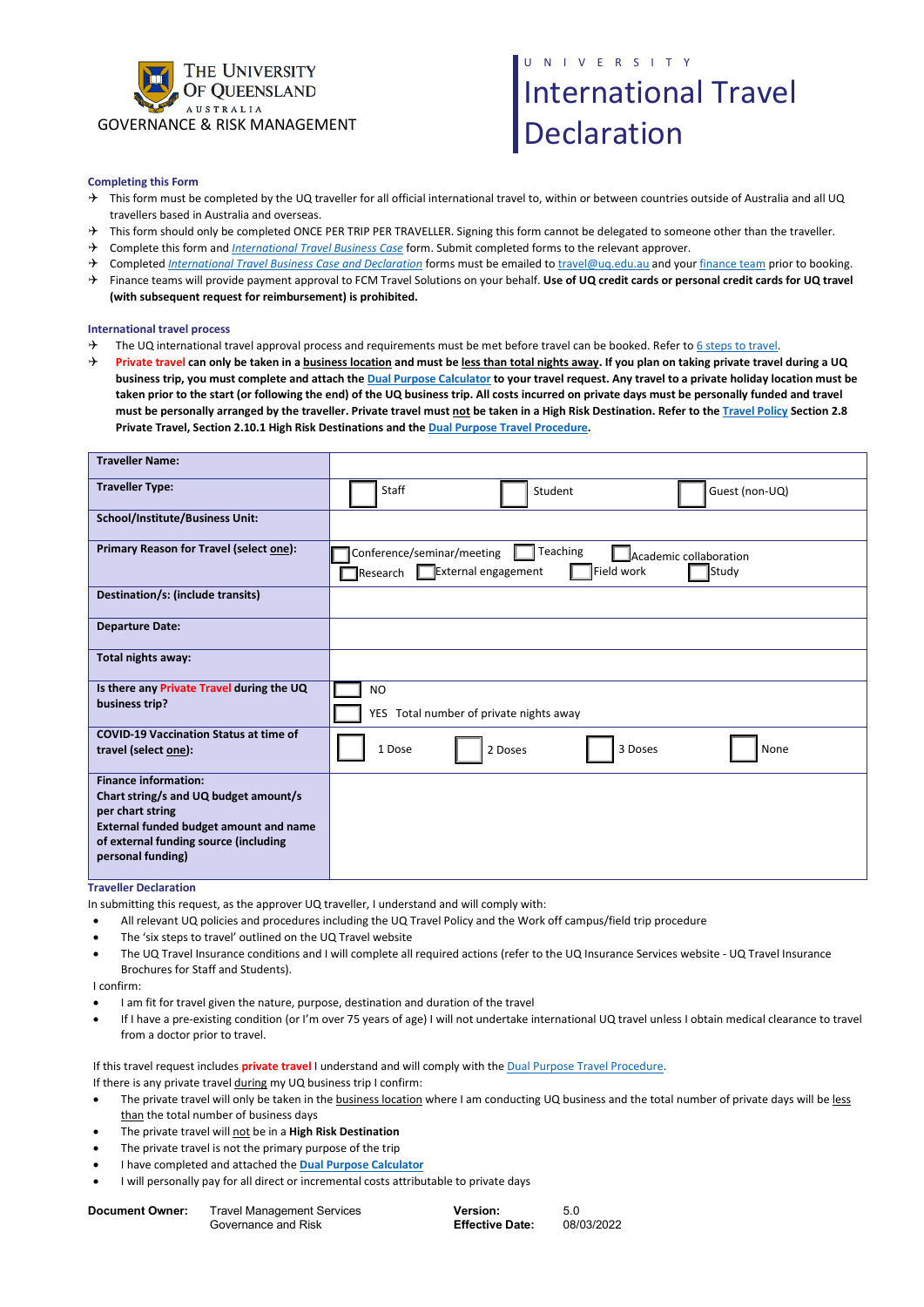

## N I V E R S I T Y International Travel Declaration

## **Completing this Form**

- $\rightarrow$  This form must be completed by the UQ traveller for all official international travel to, within or between countries outside of Australia and all UQ travellers based in Australia and overseas.
- → This form should only be completed ONCE PER TRIP PER TRAVELLER. Signing this form cannot be delegated to someone other than the traveller.
- Complete this form and *[International Travel Business Case](https://travel.uq.edu.au/resources)* form. Submit completed forms to the relevant approver.
- → Completed *[International Travel Business Case and Declaration](https://travel.uq.edu.au/resources)* forms must be emailed to *travel@uq.edu.au* and you[r finance team](https://staff.uq.edu.au/information-and-services/finance/finance-support) prior to booking.
- Finance teams will provide payment approval to FCM Travel Solutions on your behalf. **Use of UQ credit cards or personal credit cards for UQ travel (with subsequent request for reimbursement) is prohibited.**

## **International travel process**

- The UQ international travel approval process and requirements must be met before travel can be booked. Refer t[o 6 steps to travel.](https://travel.uq.edu.au/)
- **Private travel can only be taken in a business location and must be less than total nights away. If you plan on taking private travel during a UQ business trip, you must complete and attach th[e Dual Purpose Calculator](https://coo.uq.edu.au/files/25953/dual_purpose_travel_calculator.xlsx) to your travel request. Any travel to a private holiday location must be taken prior to the start (or following the end) of the UQ business trip. All costs incurred on private days must be personally funded and travel must be personally arranged by the traveller. Private travel must not be taken in a High Risk Destination. Refer to th[e Travel Policy](https://ppl.app.uq.edu.au/content/1.90.01-university-travel-management) Section 2.8 Private Travel, Section 2.10.1 High Risk Destinations and th[e Dual Purpose Travel Procedure.](https://ppl.app.uq.edu.au/content/1.90.01-university-travel-management#Procedures)**

| <b>Traveller Name:</b>                                                                                                                                                                                  |                                                                                                                                                  |
|---------------------------------------------------------------------------------------------------------------------------------------------------------------------------------------------------------|--------------------------------------------------------------------------------------------------------------------------------------------------|
| <b>Traveller Type:</b>                                                                                                                                                                                  | Staff<br>Student<br>Guest (non-UQ)                                                                                                               |
| <b>School/Institute/Business Unit:</b>                                                                                                                                                                  |                                                                                                                                                  |
| Primary Reason for Travel (select one):                                                                                                                                                                 | Teaching<br>Conference/seminar/meeting<br>Academic collaboration<br>Field work<br>External engagement<br>Study<br>$\mathsf{\mathsf{T}}$ Research |
| Destination/s: (include transits)                                                                                                                                                                       |                                                                                                                                                  |
| <b>Departure Date:</b>                                                                                                                                                                                  |                                                                                                                                                  |
| Total nights away:                                                                                                                                                                                      |                                                                                                                                                  |
| Is there any Private Travel during the UQ<br>business trip?                                                                                                                                             | <b>NO</b><br>YES Total number of private nights away                                                                                             |
| <b>COVID-19 Vaccination Status at time of</b><br>travel (select one):                                                                                                                                   | 1 Dose<br>3 Doses<br>None<br>2 Doses                                                                                                             |
| <b>Finance information:</b><br>Chart string/s and UQ budget amount/s<br>per chart string<br><b>External funded budget amount and name</b><br>of external funding source (including<br>personal funding) |                                                                                                                                                  |

**Traveller Declaration**

In submitting this request, as the approver UQ traveller, I understand and will comply with:

- All relevant UQ policies and procedures including the [UQ Travel Policy](https://ppl.app.uq.edu.au/content/1.90.01-university-travel-management) and the [Work off campus/field trip procedure](https://ppl.app.uq.edu.au/content/2.30.09-work-campus)
- The 'six steps to travel' outlined on the [UQ Travel website](https://travel.uq.edu.au/home)
- The UQ Travel Insurance conditions and I will complete all required actions (refer to the [UQ Insurance Services website -](https://governance-risk.uq.edu.au/functions-and-services/insurance/travel-insurance) UQ Travel Insurance Brochures for Staff and Students).

I confirm:

- I am fit for travel given the nature, purpose, destination and duration of the travel
- If I have a pre-existing condition (or I'm over 75 years of age) I will not undertake international UQ travel unless I obtain medical clearance to travel from a doctor prior to travel.

If this travel request includes **private travel** I understand and will comply with th[e Dual Purpose Travel Procedure.](https://ppl.app.uq.edu.au/content/1.90.01-university-travel-management) 

If there is any private travel during my UQ business trip I confirm:

- The private travel will only be taken in the **business location** where I am conducting UQ business and the total number of private days will be less than the total number of business days
- The private travel will not be in a **High Risk Destination**
- The private travel is not the primary purpose of the trip
- I have completed and attached the **[Dual Purpose Calculator](https://coo.uq.edu.au/files/25953/dual_purpose_travel_calculator.xlsx)**
- I will personally pay for all direct or incremental costs attributable to private days

| Document Owner: | <b>Travel Management Services</b> |
|-----------------|-----------------------------------|
|                 | Governance and Risk               |

**Version: Effective Date:**

5.0 08/03/2022